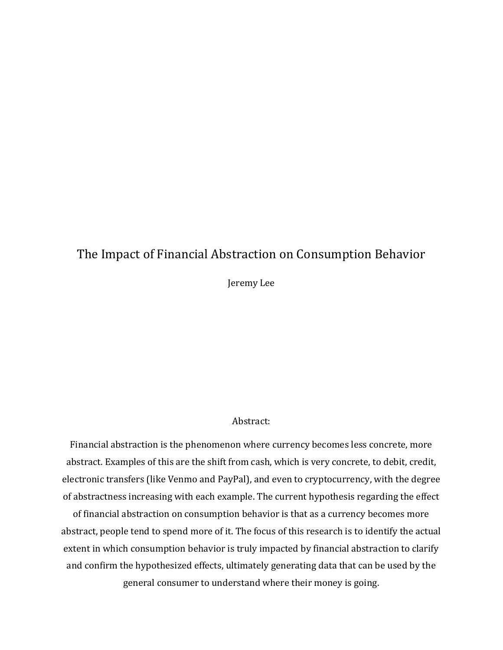# The Impact of Financial Abstraction on Consumption Behavior

Jeremy Lee

# Abstract:

Financial abstraction is the phenomenon where currency becomes less concrete, more abstract. Examples of this are the shift from cash, which is very concrete, to debit, credit, electronic transfers (like Venmo and PayPal), and even to cryptocurrency, with the degree of abstractness increasing with each example. The current hypothesis regarding the effect

of financial abstraction on consumption behavior is that as a currency becomes more abstract, people tend to spend more of it. The focus of this research is to identify the actual extent in which consumption behavior is truly impacted by financial abstraction to clarify and confirm the hypothesized effects, ultimately generating data that can be used by the general consumer to understand where their money is going.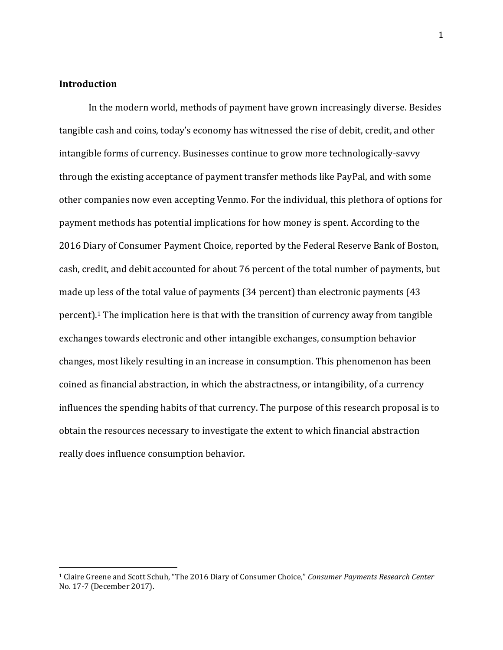## **Introduction**

In the modern world, methods of payment have grown increasingly diverse. Besides tangible cash and coins, today's economy has witnessed the rise of debit, credit, and other intangible forms of currency. Businesses continue to grow more technologically-savvy through the existing acceptance of payment transfer methods like PayPal, and with some other companies now even accepting Venmo. For the individual, this plethora of options for payment methods has potential implications for how money is spent. According to the 2016 Diary of Consumer Payment Choice, reported by the Federal Reserve Bank of Boston, cash, credit, and debit accounted for about 76 percent of the total number of payments, but made up less of the total value of payments (34 percent) than electronic payments (43 percent).<sup>1</sup> The implication here is that with the transition of currency away from tangible exchanges towards electronic and other intangible exchanges, consumption behavior changes, most likely resulting in an increase in consumption. This phenomenon has been coined as financial abstraction, in which the abstractness, or intangibility, of a currency influences the spending habits of that currency. The purpose of this research proposal is to obtain the resources necessary to investigate the extent to which financial abstraction really does influence consumption behavior.

<sup>1</sup> Claire Greene and Scott Schuh, "The 2016 Diary of Consumer Choice," *Consumer Payments Research Center*  No. 17-7 (December 2017).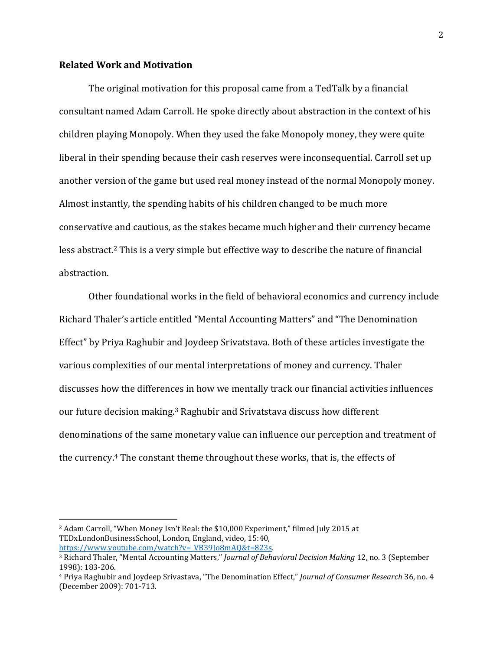## **Related Work and Motivation**

The original motivation for this proposal came from a TedTalk by a financial consultant named Adam Carroll. He spoke directly about abstraction in the context of his children playing Monopoly. When they used the fake Monopoly money, they were quite liberal in their spending because their cash reserves were inconsequential. Carroll set up another version of the game but used real money instead of the normal Monopoly money. Almost instantly, the spending habits of his children changed to be much more conservative and cautious, as the stakes became much higher and their currency became less abstract.<sup>2</sup> This is a very simple but effective way to describe the nature of financial abstraction.

Other foundational works in the field of behavioral economics and currency include Richard Thaler's article entitled "Mental Accounting Matters" and "The Denomination Effect" by Priya Raghubir and Joydeep Srivatstava. Both of these articles investigate the various complexities of our mental interpretations of money and currency. Thaler discusses how the differences in how we mentally track our financial activities influences our future decision making.<sup>3</sup> Raghubir and Srivatstava discuss how different denominations of the same monetary value can influence our perception and treatment of the currency.<sup>4</sup> The constant theme throughout these works, that is, the effects of

<sup>2</sup> Adam Carroll, "When Money Isn't Real: the \$10,000 Experiment," filmed July 2015 at TEDxLondonBusinessSchool, London, England, video, 15:40, [https://www.youtube.com/watch?v=\\_VB39Jo8mAQ&t=823s.](https://www.youtube.com/watch?v=_VB39Jo8mAQ&t=823s)

<sup>3</sup> Richard Thaler, "Mental Accounting Matters," *Journal of Behavioral Decision Making* 12, no. 3 (September 1998): 183-206.

<sup>4</sup> Priya Raghubir and Joydeep Srivastava, "The Denomination Effect," *Journal of Consumer Research* 36, no. 4 (December 2009): 701-713.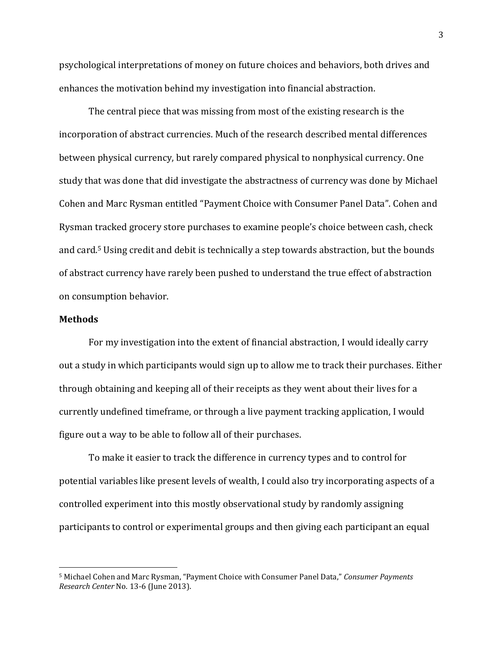psychological interpretations of money on future choices and behaviors, both drives and enhances the motivation behind my investigation into financial abstraction.

The central piece that was missing from most of the existing research is the incorporation of abstract currencies. Much of the research described mental differences between physical currency, but rarely compared physical to nonphysical currency. One study that was done that did investigate the abstractness of currency was done by Michael Cohen and Marc Rysman entitled "Payment Choice with Consumer Panel Data". Cohen and Rysman tracked grocery store purchases to examine people's choice between cash, check and card. <sup>5</sup> Using credit and debit is technically a step towards abstraction, but the bounds of abstract currency have rarely been pushed to understand the true effect of abstraction on consumption behavior.

#### **Methods**

For my investigation into the extent of financial abstraction, I would ideally carry out a study in which participants would sign up to allow me to track their purchases. Either through obtaining and keeping all of their receipts as they went about their lives for a currently undefined timeframe, or through a live payment tracking application, I would figure out a way to be able to follow all of their purchases.

To make it easier to track the difference in currency types and to control for potential variables like present levels of wealth, I could also try incorporating aspects of a controlled experiment into this mostly observational study by randomly assigning participants to control or experimental groups and then giving each participant an equal

<sup>5</sup> Michael Cohen and Marc Rysman, "Payment Choice with Consumer Panel Data," *Consumer Payments Research Center* No. 13-6 (June 2013).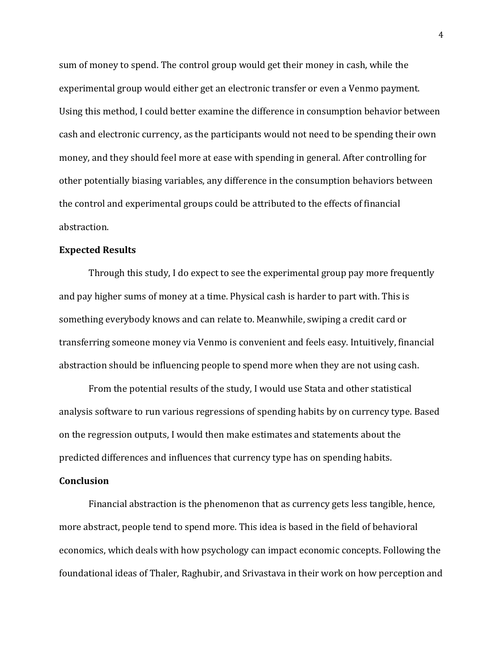sum of money to spend. The control group would get their money in cash, while the experimental group would either get an electronic transfer or even a Venmo payment. Using this method, I could better examine the difference in consumption behavior between cash and electronic currency, as the participants would not need to be spending their own money, and they should feel more at ease with spending in general. After controlling for other potentially biasing variables, any difference in the consumption behaviors between the control and experimental groups could be attributed to the effects of financial abstraction.

#### **Expected Results**

Through this study, I do expect to see the experimental group pay more frequently and pay higher sums of money at a time. Physical cash is harder to part with. This is something everybody knows and can relate to. Meanwhile, swiping a credit card or transferring someone money via Venmo is convenient and feels easy. Intuitively, financial abstraction should be influencing people to spend more when they are not using cash.

From the potential results of the study, I would use Stata and other statistical analysis software to run various regressions of spending habits by on currency type. Based on the regression outputs, I would then make estimates and statements about the predicted differences and influences that currency type has on spending habits.

#### **Conclusion**

Financial abstraction is the phenomenon that as currency gets less tangible, hence, more abstract, people tend to spend more. This idea is based in the field of behavioral economics, which deals with how psychology can impact economic concepts. Following the foundational ideas of Thaler, Raghubir, and Srivastava in their work on how perception and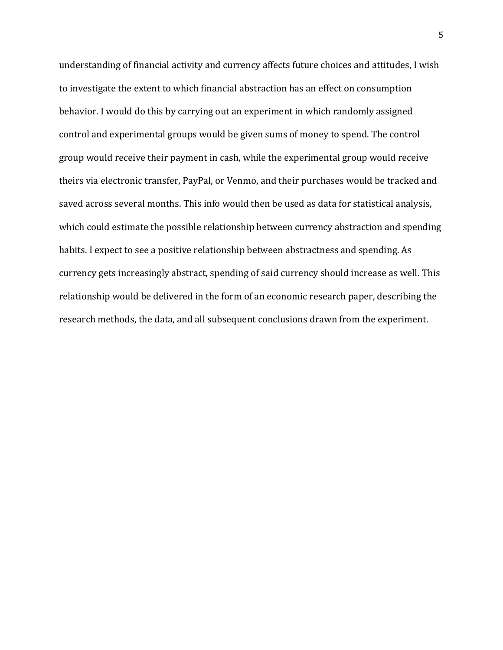understanding of financial activity and currency affects future choices and attitudes, I wish to investigate the extent to which financial abstraction has an effect on consumption behavior. I would do this by carrying out an experiment in which randomly assigned control and experimental groups would be given sums of money to spend. The control group would receive their payment in cash, while the experimental group would receive theirs via electronic transfer, PayPal, or Venmo, and their purchases would be tracked and saved across several months. This info would then be used as data for statistical analysis, which could estimate the possible relationship between currency abstraction and spending habits. I expect to see a positive relationship between abstractness and spending. As currency gets increasingly abstract, spending of said currency should increase as well. This relationship would be delivered in the form of an economic research paper, describing the research methods, the data, and all subsequent conclusions drawn from the experiment.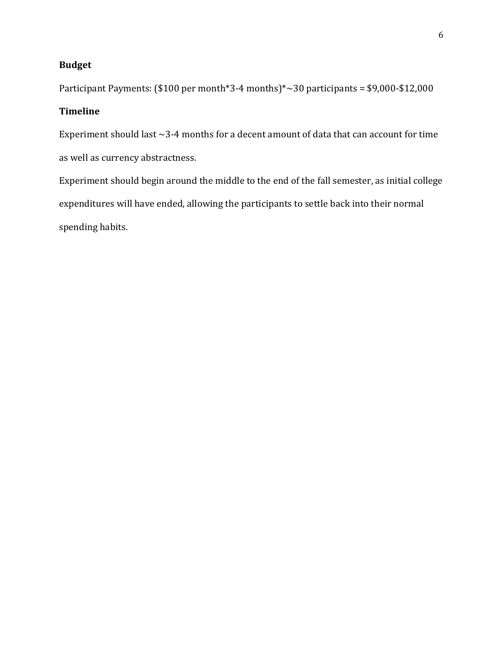# **Budget**

Participant Payments: (\$100 per month\*3-4 months)\*~30 participants = \$9,000-\$12,000

# **Timeline**

Experiment should last  $\sim$ 3-4 months for a decent amount of data that can account for time as well as currency abstractness.

Experiment should begin around the middle to the end of the fall semester, as initial college expenditures will have ended, allowing the participants to settle back into their normal spending habits.